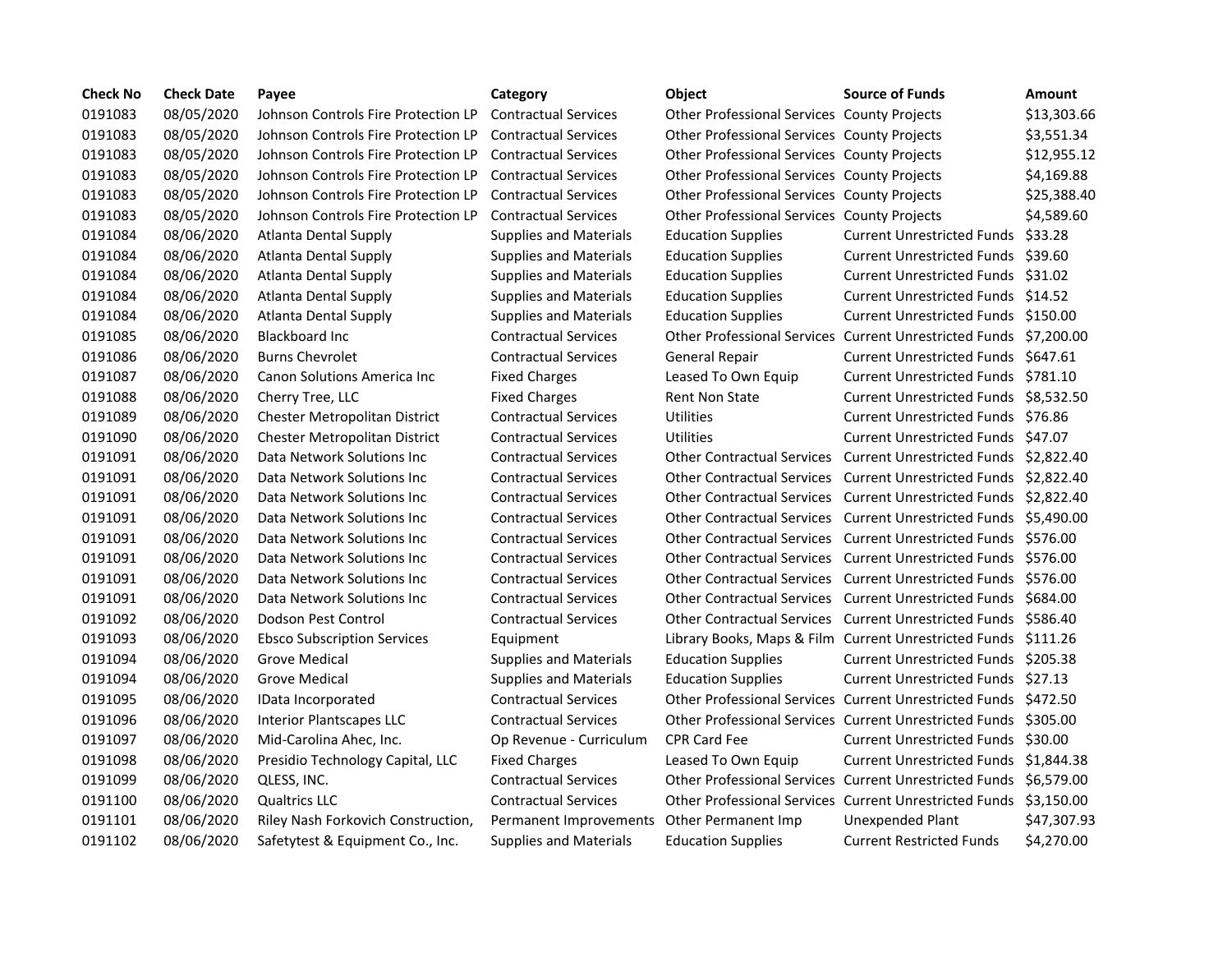| <b>Check No</b> | <b>Check Date</b> | Payee                                | Category                                   | Object                                             | <b>Source of Funds</b>                                            | Amount      |
|-----------------|-------------------|--------------------------------------|--------------------------------------------|----------------------------------------------------|-------------------------------------------------------------------|-------------|
| 0191083         | 08/05/2020        | Johnson Controls Fire Protection LP  | <b>Contractual Services</b>                | <b>Other Professional Services County Projects</b> |                                                                   | \$13,303.66 |
| 0191083         | 08/05/2020        | Johnson Controls Fire Protection LP  | <b>Contractual Services</b>                | <b>Other Professional Services County Projects</b> |                                                                   | \$3,551.34  |
| 0191083         | 08/05/2020        | Johnson Controls Fire Protection LP  | <b>Contractual Services</b>                | Other Professional Services County Projects        |                                                                   | \$12,955.12 |
| 0191083         | 08/05/2020        | Johnson Controls Fire Protection LP  | <b>Contractual Services</b>                | <b>Other Professional Services County Projects</b> |                                                                   | \$4,169.88  |
| 0191083         | 08/05/2020        | Johnson Controls Fire Protection LP  | <b>Contractual Services</b>                | <b>Other Professional Services County Projects</b> |                                                                   | \$25,388.40 |
| 0191083         | 08/05/2020        | Johnson Controls Fire Protection LP  | <b>Contractual Services</b>                | Other Professional Services County Projects        |                                                                   | \$4,589.60  |
| 0191084         | 08/06/2020        | Atlanta Dental Supply                | <b>Supplies and Materials</b>              | <b>Education Supplies</b>                          | Current Unrestricted Funds \$33.28                                |             |
| 0191084         | 08/06/2020        | Atlanta Dental Supply                | <b>Supplies and Materials</b>              | <b>Education Supplies</b>                          | Current Unrestricted Funds \$39.60                                |             |
| 0191084         | 08/06/2020        | Atlanta Dental Supply                | <b>Supplies and Materials</b>              | <b>Education Supplies</b>                          | Current Unrestricted Funds \$31.02                                |             |
| 0191084         | 08/06/2020        | <b>Atlanta Dental Supply</b>         | <b>Supplies and Materials</b>              | <b>Education Supplies</b>                          | Current Unrestricted Funds \$14.52                                |             |
| 0191084         | 08/06/2020        | <b>Atlanta Dental Supply</b>         | <b>Supplies and Materials</b>              | <b>Education Supplies</b>                          | Current Unrestricted Funds \$150.00                               |             |
| 0191085         | 08/06/2020        | <b>Blackboard Inc.</b>               | <b>Contractual Services</b>                |                                                    | Other Professional Services Current Unrestricted Funds \$7,200.00 |             |
| 0191086         | 08/06/2020        | <b>Burns Chevrolet</b>               | <b>Contractual Services</b>                | <b>General Repair</b>                              | Current Unrestricted Funds \$647.61                               |             |
| 0191087         | 08/06/2020        | Canon Solutions America Inc          | <b>Fixed Charges</b>                       | Leased To Own Equip                                | Current Unrestricted Funds \$781.10                               |             |
| 0191088         | 08/06/2020        | Cherry Tree, LLC                     | <b>Fixed Charges</b>                       | <b>Rent Non State</b>                              | Current Unrestricted Funds \$8,532.50                             |             |
| 0191089         | 08/06/2020        | <b>Chester Metropolitan District</b> | <b>Contractual Services</b>                | <b>Utilities</b>                                   | Current Unrestricted Funds \$76.86                                |             |
| 0191090         | 08/06/2020        | Chester Metropolitan District        | <b>Contractual Services</b>                | Utilities                                          | Current Unrestricted Funds \$47.07                                |             |
| 0191091         | 08/06/2020        | Data Network Solutions Inc           | <b>Contractual Services</b>                | <b>Other Contractual Services</b>                  | Current Unrestricted Funds \$2,822.40                             |             |
| 0191091         | 08/06/2020        | Data Network Solutions Inc           | <b>Contractual Services</b>                | <b>Other Contractual Services</b>                  | Current Unrestricted Funds \$2,822.40                             |             |
| 0191091         | 08/06/2020        | Data Network Solutions Inc.          | <b>Contractual Services</b>                | <b>Other Contractual Services</b>                  | Current Unrestricted Funds \$2.822.40                             |             |
| 0191091         | 08/06/2020        | Data Network Solutions Inc           | <b>Contractual Services</b>                | <b>Other Contractual Services</b>                  | Current Unrestricted Funds \$5.490.00                             |             |
| 0191091         | 08/06/2020        | Data Network Solutions Inc           | <b>Contractual Services</b>                | <b>Other Contractual Services</b>                  | Current Unrestricted Funds \$576.00                               |             |
| 0191091         | 08/06/2020        | Data Network Solutions Inc           | <b>Contractual Services</b>                | <b>Other Contractual Services</b>                  | Current Unrestricted Funds \$576.00                               |             |
| 0191091         | 08/06/2020        | Data Network Solutions Inc           | <b>Contractual Services</b>                | <b>Other Contractual Services</b>                  | Current Unrestricted Funds \$576.00                               |             |
| 0191091         | 08/06/2020        | Data Network Solutions Inc           | <b>Contractual Services</b>                | <b>Other Contractual Services</b>                  | Current Unrestricted Funds \$684.00                               |             |
| 0191092         | 08/06/2020        | Dodson Pest Control                  | <b>Contractual Services</b>                | <b>Other Contractual Services</b>                  | Current Unrestricted Funds \$586.40                               |             |
| 0191093         | 08/06/2020        | <b>Ebsco Subscription Services</b>   | Equipment                                  |                                                    | Library Books, Maps & Film Current Unrestricted Funds \$111.26    |             |
| 0191094         | 08/06/2020        | Grove Medical                        | <b>Supplies and Materials</b>              | <b>Education Supplies</b>                          | Current Unrestricted Funds \$205.38                               |             |
| 0191094         | 08/06/2020        | Grove Medical                        | <b>Supplies and Materials</b>              | <b>Education Supplies</b>                          | Current Unrestricted Funds \$27.13                                |             |
| 0191095         | 08/06/2020        | IData Incorporated                   | <b>Contractual Services</b>                |                                                    | Other Professional Services Current Unrestricted Funds \$472.50   |             |
| 0191096         | 08/06/2020        | <b>Interior Plantscapes LLC</b>      | <b>Contractual Services</b>                |                                                    | Other Professional Services Current Unrestricted Funds \$305.00   |             |
| 0191097         | 08/06/2020        | Mid-Carolina Ahec, Inc.              | Op Revenue - Curriculum                    | <b>CPR Card Fee</b>                                | Current Unrestricted Funds \$30.00                                |             |
| 0191098         | 08/06/2020        | Presidio Technology Capital, LLC     | <b>Fixed Charges</b>                       | Leased To Own Equip                                | Current Unrestricted Funds \$1,844.38                             |             |
| 0191099         | 08/06/2020        | QLESS, INC.                          | <b>Contractual Services</b>                |                                                    | Other Professional Services Current Unrestricted Funds \$6,579.00 |             |
| 0191100         | 08/06/2020        | <b>Qualtrics LLC</b>                 | <b>Contractual Services</b>                |                                                    | Other Professional Services Current Unrestricted Funds \$3,150.00 |             |
| 0191101         | 08/06/2020        | Riley Nash Forkovich Construction,   | Permanent Improvements Other Permanent Imp |                                                    | Unexpended Plant                                                  | \$47,307.93 |
| 0191102         | 08/06/2020        | Safetytest & Equipment Co., Inc.     | Supplies and Materials                     | <b>Education Supplies</b>                          | <b>Current Restricted Funds</b>                                   | \$4,270.00  |

|      | Object                                      | <b>Source of Funds</b>                                 | Amount     |
|------|---------------------------------------------|--------------------------------------------------------|------------|
|      | Other Professional Services County Projects |                                                        | \$13,303.6 |
|      | Other Professional Services County Projects |                                                        | \$3,551.34 |
|      | Other Professional Services County Projects |                                                        | \$12,955.1 |
|      | Other Professional Services County Projects |                                                        | \$4,169.88 |
|      | Other Professional Services County Projects |                                                        | \$25,388.4 |
|      | Other Professional Services County Projects |                                                        | \$4,589.60 |
|      | <b>Education Supplies</b>                   | <b>Current Unrestricted Funds</b>                      | \$33.28    |
|      | <b>Education Supplies</b>                   | <b>Current Unrestricted Funds</b>                      | \$39.60    |
| 5    | <b>Education Supplies</b>                   | <b>Current Unrestricted Funds</b>                      | \$31.02    |
| 5    | <b>Education Supplies</b>                   | <b>Current Unrestricted Funds</b>                      | \$14.52    |
|      | <b>Education Supplies</b>                   | <b>Current Unrestricted Funds</b>                      | \$150.00   |
|      |                                             | Other Professional Services Current Unrestricted Funds | \$7,200.00 |
|      | <b>General Repair</b>                       | <b>Current Unrestricted Funds</b>                      | \$647.61   |
|      | Leased To Own Equip                         | <b>Current Unrestricted Funds</b>                      | \$781.10   |
|      | <b>Rent Non State</b>                       | <b>Current Unrestricted Funds</b>                      | \$8,532.50 |
|      | Utilities                                   | <b>Current Unrestricted Funds</b>                      | \$76.86    |
|      | <b>Utilities</b>                            | <b>Current Unrestricted Funds</b>                      | \$47.07    |
|      | <b>Other Contractual Services</b>           | <b>Current Unrestricted Funds</b>                      | \$2,822.40 |
|      | <b>Other Contractual Services</b>           | <b>Current Unrestricted Funds</b>                      | \$2,822.40 |
|      | <b>Other Contractual Services</b>           | <b>Current Unrestricted Funds</b>                      | \$2,822.40 |
|      | <b>Other Contractual Services</b>           | <b>Current Unrestricted Funds</b>                      | \$5,490.00 |
|      | <b>Other Contractual Services</b>           | <b>Current Unrestricted Funds</b>                      | \$576.00   |
|      | <b>Other Contractual Services</b>           | <b>Current Unrestricted Funds</b>                      | \$576.00   |
|      | <b>Other Contractual Services</b>           | <b>Current Unrestricted Funds</b>                      | \$576.00   |
|      | <b>Other Contractual Services</b>           | <b>Current Unrestricted Funds</b>                      | \$684.00   |
|      | <b>Other Contractual Services</b>           | <b>Current Unrestricted Funds</b>                      | \$586.40   |
|      |                                             | Library Books, Maps & Film Current Unrestricted Funds  | \$111.26   |
|      | <b>Education Supplies</b>                   | <b>Current Unrestricted Funds</b>                      | \$205.38   |
|      | <b>Education Supplies</b>                   | <b>Current Unrestricted Funds</b>                      | \$27.13    |
|      |                                             | Other Professional Services Current Unrestricted Funds | \$472.50   |
|      |                                             | Other Professional Services Current Unrestricted Funds | \$305.00   |
| um   | <b>CPR Card Fee</b>                         | <b>Current Unrestricted Funds</b>                      | \$30.00    |
|      | Leased To Own Equip                         | <b>Current Unrestricted Funds</b>                      | \$1,844.38 |
|      |                                             | Other Professional Services Current Unrestricted Funds | \$6,579.00 |
|      |                                             | Other Professional Services Current Unrestricted Funds | \$3,150.00 |
| ents | Other Permanent Imp                         | <b>Unexpended Plant</b>                                | \$47,307.9 |
| 5    | <b>Education Supplies</b>                   | <b>Current Restricted Funds</b>                        | \$4,270.00 |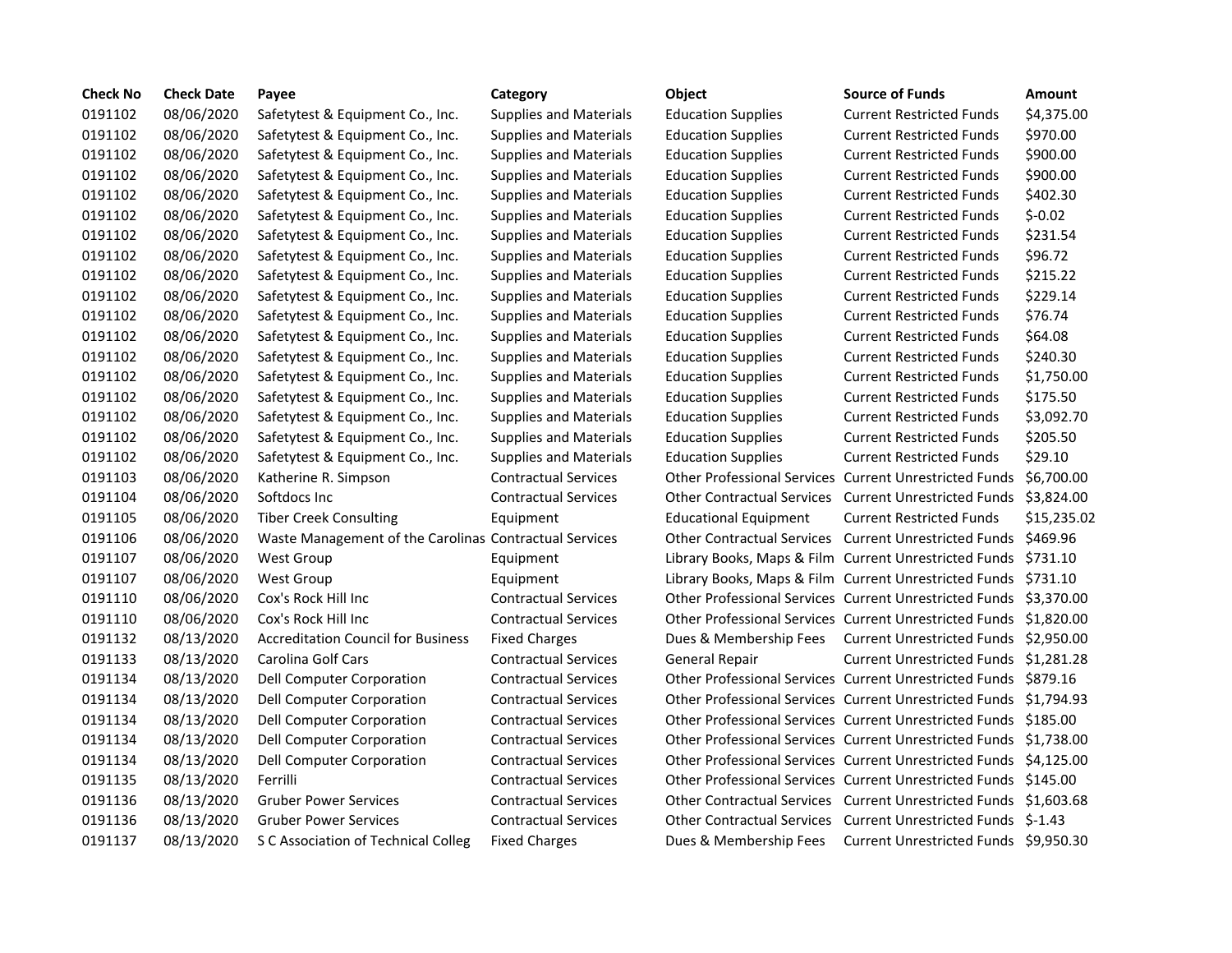| <b>Check No</b> | <b>Check Date</b> | Payee                                                  | Category                      | <b>Object</b>                     | <b>Source of Funds</b>                                            | <b>Amount</b> |
|-----------------|-------------------|--------------------------------------------------------|-------------------------------|-----------------------------------|-------------------------------------------------------------------|---------------|
| 0191102         | 08/06/2020        | Safetytest & Equipment Co., Inc.                       | <b>Supplies and Materials</b> | <b>Education Supplies</b>         | <b>Current Restricted Funds</b>                                   | \$4,375.00    |
| 0191102         | 08/06/2020        | Safetytest & Equipment Co., Inc.                       | <b>Supplies and Materials</b> | <b>Education Supplies</b>         | <b>Current Restricted Funds</b>                                   | \$970.00      |
| 0191102         | 08/06/2020        | Safetytest & Equipment Co., Inc.                       | <b>Supplies and Materials</b> | <b>Education Supplies</b>         | <b>Current Restricted Funds</b>                                   | \$900.00      |
| 0191102         | 08/06/2020        | Safetytest & Equipment Co., Inc.                       | <b>Supplies and Materials</b> | <b>Education Supplies</b>         | <b>Current Restricted Funds</b>                                   | \$900.00      |
| 0191102         | 08/06/2020        | Safetytest & Equipment Co., Inc.                       | <b>Supplies and Materials</b> | <b>Education Supplies</b>         | <b>Current Restricted Funds</b>                                   | \$402.30      |
| 0191102         | 08/06/2020        | Safetytest & Equipment Co., Inc.                       | <b>Supplies and Materials</b> | <b>Education Supplies</b>         | <b>Current Restricted Funds</b>                                   | $$-0.02$      |
| 0191102         | 08/06/2020        | Safetytest & Equipment Co., Inc.                       | <b>Supplies and Materials</b> | <b>Education Supplies</b>         | <b>Current Restricted Funds</b>                                   | \$231.54      |
| 0191102         | 08/06/2020        | Safetytest & Equipment Co., Inc.                       | <b>Supplies and Materials</b> | <b>Education Supplies</b>         | <b>Current Restricted Funds</b>                                   | \$96.72       |
| 0191102         | 08/06/2020        | Safetytest & Equipment Co., Inc.                       | <b>Supplies and Materials</b> | <b>Education Supplies</b>         | <b>Current Restricted Funds</b>                                   | \$215.22      |
| 0191102         | 08/06/2020        | Safetytest & Equipment Co., Inc.                       | <b>Supplies and Materials</b> | <b>Education Supplies</b>         | <b>Current Restricted Funds</b>                                   | \$229.14      |
| 0191102         | 08/06/2020        | Safetytest & Equipment Co., Inc.                       | <b>Supplies and Materials</b> | <b>Education Supplies</b>         | <b>Current Restricted Funds</b>                                   | \$76.74       |
| 0191102         | 08/06/2020        | Safetytest & Equipment Co., Inc.                       | <b>Supplies and Materials</b> | <b>Education Supplies</b>         | <b>Current Restricted Funds</b>                                   | \$64.08       |
| 0191102         | 08/06/2020        | Safetytest & Equipment Co., Inc.                       | <b>Supplies and Materials</b> | <b>Education Supplies</b>         | <b>Current Restricted Funds</b>                                   | \$240.30      |
| 0191102         | 08/06/2020        | Safetytest & Equipment Co., Inc.                       | <b>Supplies and Materials</b> | <b>Education Supplies</b>         | <b>Current Restricted Funds</b>                                   | \$1,750.00    |
| 0191102         | 08/06/2020        | Safetytest & Equipment Co., Inc.                       | <b>Supplies and Materials</b> | <b>Education Supplies</b>         | <b>Current Restricted Funds</b>                                   | \$175.50      |
| 0191102         | 08/06/2020        | Safetytest & Equipment Co., Inc.                       | <b>Supplies and Materials</b> | <b>Education Supplies</b>         | <b>Current Restricted Funds</b>                                   | \$3,092.70    |
| 0191102         | 08/06/2020        | Safetytest & Equipment Co., Inc.                       | <b>Supplies and Materials</b> | <b>Education Supplies</b>         | <b>Current Restricted Funds</b>                                   | \$205.50      |
| 0191102         | 08/06/2020        | Safetytest & Equipment Co., Inc.                       | <b>Supplies and Materials</b> | <b>Education Supplies</b>         | <b>Current Restricted Funds</b>                                   | \$29.10       |
| 0191103         | 08/06/2020        | Katherine R. Simpson                                   | <b>Contractual Services</b>   |                                   | Other Professional Services Current Unrestricted Funds            | \$6,700.00    |
| 0191104         | 08/06/2020        | Softdocs Inc                                           | <b>Contractual Services</b>   |                                   | Other Contractual Services Current Unrestricted Funds             | \$3,824.00    |
| 0191105         | 08/06/2020        | <b>Tiber Creek Consulting</b>                          | Equipment                     | <b>Educational Equipment</b>      | <b>Current Restricted Funds</b>                                   | \$15,235.02   |
| 0191106         | 08/06/2020        | Waste Management of the Carolinas Contractual Services |                               | <b>Other Contractual Services</b> | Current Unrestricted Funds \$469.96                               |               |
| 0191107         | 08/06/2020        | <b>West Group</b>                                      | Equipment                     |                                   | Library Books, Maps & Film Current Unrestricted Funds \$731.10    |               |
| 0191107         | 08/06/2020        | <b>West Group</b>                                      | Equipment                     |                                   | Library Books, Maps & Film Current Unrestricted Funds \$731.10    |               |
| 0191110         | 08/06/2020        | Cox's Rock Hill Inc                                    | <b>Contractual Services</b>   |                                   | Other Professional Services Current Unrestricted Funds \$3,370.00 |               |
| 0191110         | 08/06/2020        | Cox's Rock Hill Inc                                    | <b>Contractual Services</b>   |                                   | Other Professional Services Current Unrestricted Funds \$1,820.00 |               |
| 0191132         | 08/13/2020        | <b>Accreditation Council for Business</b>              | <b>Fixed Charges</b>          | Dues & Membership Fees            | Current Unrestricted Funds \$2,950.00                             |               |
| 0191133         | 08/13/2020        | Carolina Golf Cars                                     | <b>Contractual Services</b>   | <b>General Repair</b>             | Current Unrestricted Funds \$1,281.28                             |               |
| 0191134         | 08/13/2020        | Dell Computer Corporation                              | <b>Contractual Services</b>   |                                   | Other Professional Services Current Unrestricted Funds \$879.16   |               |
| 0191134         | 08/13/2020        | Dell Computer Corporation                              | <b>Contractual Services</b>   |                                   | Other Professional Services Current Unrestricted Funds \$1,794.93 |               |
| 0191134         | 08/13/2020        | Dell Computer Corporation                              | <b>Contractual Services</b>   |                                   | Other Professional Services Current Unrestricted Funds \$185.00   |               |
| 0191134         | 08/13/2020        | Dell Computer Corporation                              | <b>Contractual Services</b>   |                                   | Other Professional Services Current Unrestricted Funds \$1,738.00 |               |
| 0191134         | 08/13/2020        | Dell Computer Corporation                              | <b>Contractual Services</b>   |                                   | Other Professional Services Current Unrestricted Funds \$4,125.00 |               |
| 0191135         | 08/13/2020        | Ferrilli                                               | <b>Contractual Services</b>   |                                   | Other Professional Services Current Unrestricted Funds \$145.00   |               |
| 0191136         | 08/13/2020        | <b>Gruber Power Services</b>                           | <b>Contractual Services</b>   |                                   | Other Contractual Services Current Unrestricted Funds \$1,603.68  |               |
| 0191136         | 08/13/2020        | <b>Gruber Power Services</b>                           | <b>Contractual Services</b>   |                                   | Other Contractual Services Current Unrestricted Funds \$-1.43     |               |
| 0191137         | 08/13/2020        | S C Association of Technical Colleg                    | <b>Fixed Charges</b>          | Dues & Membership Fees            | Current Unrestricted Funds \$9,950.30                             |               |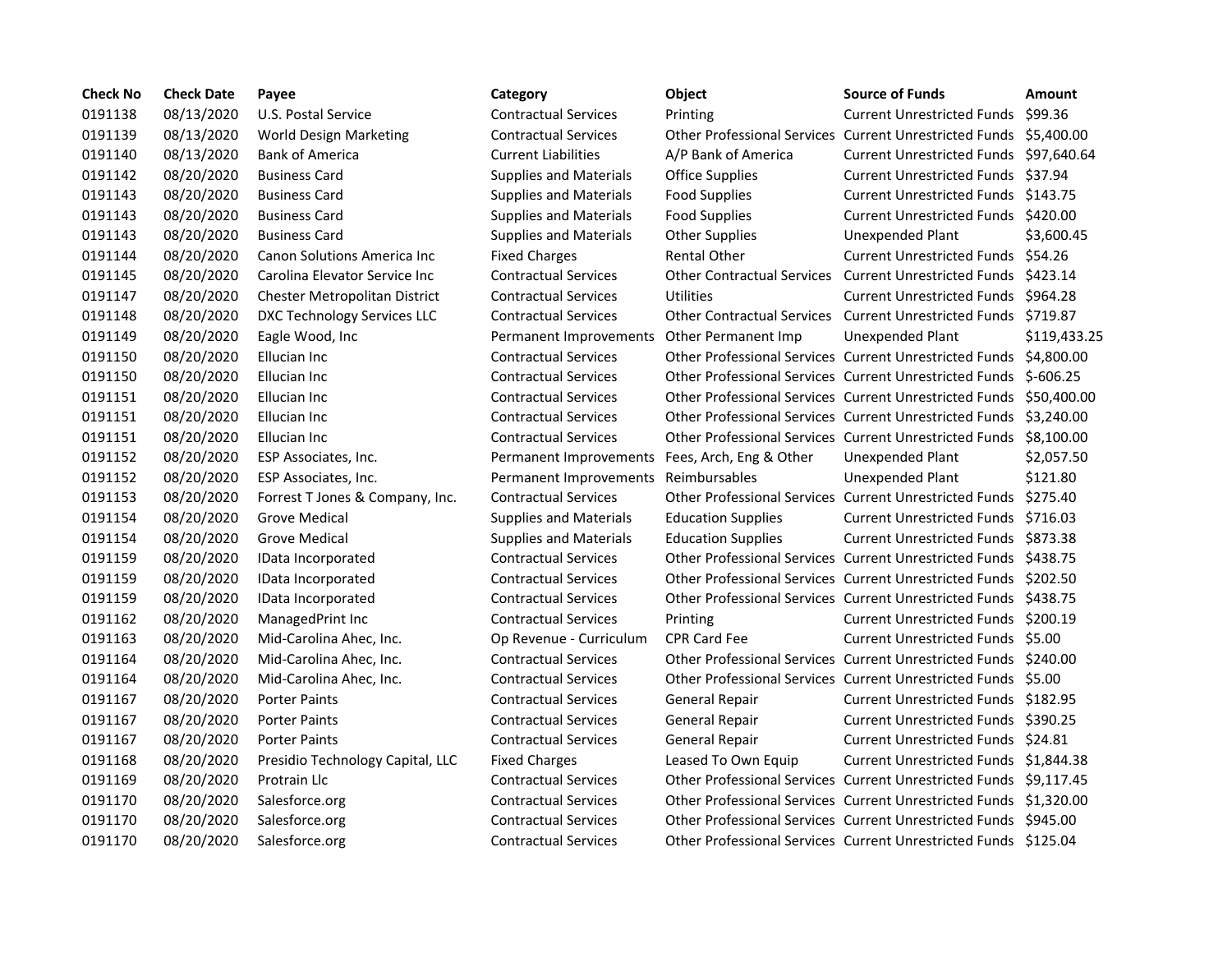| <b>Check No</b> | <b>Check Date</b> | Payee                              |
|-----------------|-------------------|------------------------------------|
| 0191138         | 08/13/2020        | U.S. Postal Service                |
| 0191139         | 08/13/2020        | World Design Marketing             |
| 0191140         | 08/13/2020        | <b>Bank of America</b>             |
| 0191142         | 08/20/2020        | <b>Business Card</b>               |
| 0191143         | 08/20/2020        | <b>Business Card</b>               |
| 0191143         | 08/20/2020        | <b>Business Card</b>               |
| 0191143         | 08/20/2020        | <b>Business Card</b>               |
| 0191144         | 08/20/2020        | <b>Canon Solutions America Inc</b> |
| 0191145         | 08/20/2020        | Carolina Elevator Service Inc      |
| 0191147         | 08/20/2020        | Chester Metropolitan District      |
| 0191148         | 08/20/2020        | DXC Technology Services LLC        |
| 0191149         | 08/20/2020        | Eagle Wood, Inc                    |
| 0191150         | 08/20/2020        | <b>Ellucian Inc</b>                |
| 0191150         | 08/20/2020        | <b>Ellucian Inc</b>                |
| 0191151         | 08/20/2020        | <b>Ellucian Inc</b>                |
| 0191151         | 08/20/2020        | Ellucian Inc                       |
| 0191151         | 08/20/2020        | <b>Ellucian Inc</b>                |
| 0191152         | 08/20/2020        | ESP Associates, Inc.               |
| 0191152         | 08/20/2020        | ESP Associates, Inc.               |
| 0191153         | 08/20/2020        | Forrest T Jones & Company, Inc.    |
| 0191154         | 08/20/2020        | Grove Medical                      |
| 0191154         | 08/20/2020        | <b>Grove Medical</b>               |
| 0191159         | 08/20/2020        | IData Incorporated                 |
| 0191159         | 08/20/2020        | IData Incorporated                 |
| 0191159         | 08/20/2020        | IData Incorporated                 |
| 0191162         | 08/20/2020        | ManagedPrint Inc                   |
| 0191163         | 08/20/2020        | Mid-Carolina Ahec, Inc.            |
| 0191164         | 08/20/2020        | Mid-Carolina Ahec, Inc.            |
| 0191164         | 08/20/2020        | Mid-Carolina Ahec, Inc.            |
| 0191167         | 08/20/2020        | <b>Porter Paints</b>               |
| 0191167         | 08/20/2020        | <b>Porter Paints</b>               |
| 0191167         | 08/20/2020        | <b>Porter Paints</b>               |
| 0191168         | 08/20/2020        | Presidio Technology Capital, LLC   |
| 0191169         | 08/20/2020        | Protrain Llc                       |
| 0191170         | 08/20/2020        | Salesforce.org                     |
| 0191170         | 08/20/2020        | Salesforce.org                     |
| 0191170         | 08/20/2020        | Salesforce.org                     |

## **Check No Check Date Payee Category Object Source of Funds Amount** Contractual Services Printing Current Unrestricted Funds \$99.36 08/13/2020 World Design Marketing Contractual Services Other Professional Services Current Unrestricted Funds \$5,400.00 08/13/2020 Bank of America Current Liabilities A/P Bank of America Current Unrestricted Funds \$97,640.64 08/20/2020 Business Card Supplies and Materials Office Supplies Current Unrestricted Funds \$37.94 08/20/2020 Business Card Supplies and Materials Food Supplies Current Unrestricted Funds \$143.75 08/20/2020 Business Card Supplies and Materials Food Supplies Current Unrestricted Funds \$420.00 08/20/2020 Business Card Supplies and Materials Other Supplies Unexpended Plant \$3,600.45 Fixed Charges **Rental Other** Current Unrestricted Funds \$54.26 08/20/2020 Carolina Elevator Service Inc Contractual Services Other Contractual Services Current Unrestricted Funds \$423.14 08/20/2020 Chester Metropolitan District Contractual Services Utilities Current Unrestricted Funds \$964.28 08/20/2020 DXC Technology Services LLC Contractual Services Other Contractual Services Current Unrestricted Funds \$719.87 Permanent Improvements Other Permanent Imp Unexpended Plant \$119,433.25 08/20/2020 Ellucian Inc Contractual Services Other Professional Services Current Unrestricted Funds \$4,800.00 08/20/2020 Ellucian Inc Contractual Services Other Professional Services Current Unrestricted Funds \$-606.25 08/20/2020 Ellucian Inc Contractual Services Other Professional Services Current Unrestricted Funds \$50,400.00 08/20/2020 Ellucian Inc Contractual Services Other Professional Services Current Unrestricted Funds \$3,240.00 08/20/2020 Ellucian Inc Contractual Services Other Professional Services Current Unrestricted Funds \$8,100.00 Permanent Improvements Fees, Arch, Eng & Other Unexpended Plant \$2,057.50 Permanent Improvements Reimbursables **End Associates** Unexpended Plant \$121.80 08/20/2020 Forrest T Jones & Company, Inc. Contractual Services Other Professional Services Current Unrestricted Funds \$275.40 08/20/2020 Grove Medical Supplies and Materials Education Supplies Current Unrestricted Funds \$716.03 08/20/2020 Grove Medical Supplies and Materials Education Supplies Current Unrestricted Funds \$873.38 08/20/2020 IData Incorporated Contractual Services Other Professional Services Current Unrestricted Funds \$438.75 08/20/2020 IData Incorporated Contractual Services Other Professional Services Current Unrestricted Funds \$202.50 08/20/2020 IData Incorporated Contractual Services Other Professional Services Current Unrestricted Funds \$438.75 08/20/2020 ManagedPrint Inc Contractual Services Printing Current Unrestricted Funds \$200.19 Op Revenue - Curriculum CPR Card Fee Current Unrestricted Funds \$5.00 08/20/2020 Mid-Carolina Ahec, Inc. Contractual Services Other Professional Services Current Unrestricted Funds \$240.00 08/20/2020 Mid-Carolina Ahec, Inc. Contractual Services Other Professional Services Current Unrestricted Funds \$5.00 08/20/2020 Porter Paints Contractual Services General Repair Current Unrestricted Funds \$182.95 08/20/2020 Porter Paints Contractual Services General Repair Current Unrestricted Funds \$390.25 Contractual Services General Repair Current Unrestricted Funds \$24.81 Fixed Charges **Example 2018** Leased To Own Equip Current Unrestricted Funds \$1,844.38 08/20/2020 Protrain Llc Contractual Services Other Professional Services Current Unrestricted Funds \$9,117.45 08/20/2020 Salesforce.org Contractual Services Other Professional Services Current Unrestricted Funds \$1,320.00 08/20/2020 Salesforce.org Contractual Services Other Professional Services Current Unrestricted Funds \$945.00 08/20/2020 Salesforce.org Contractual Services Other Professional Services Current Unrestricted Funds \$125.04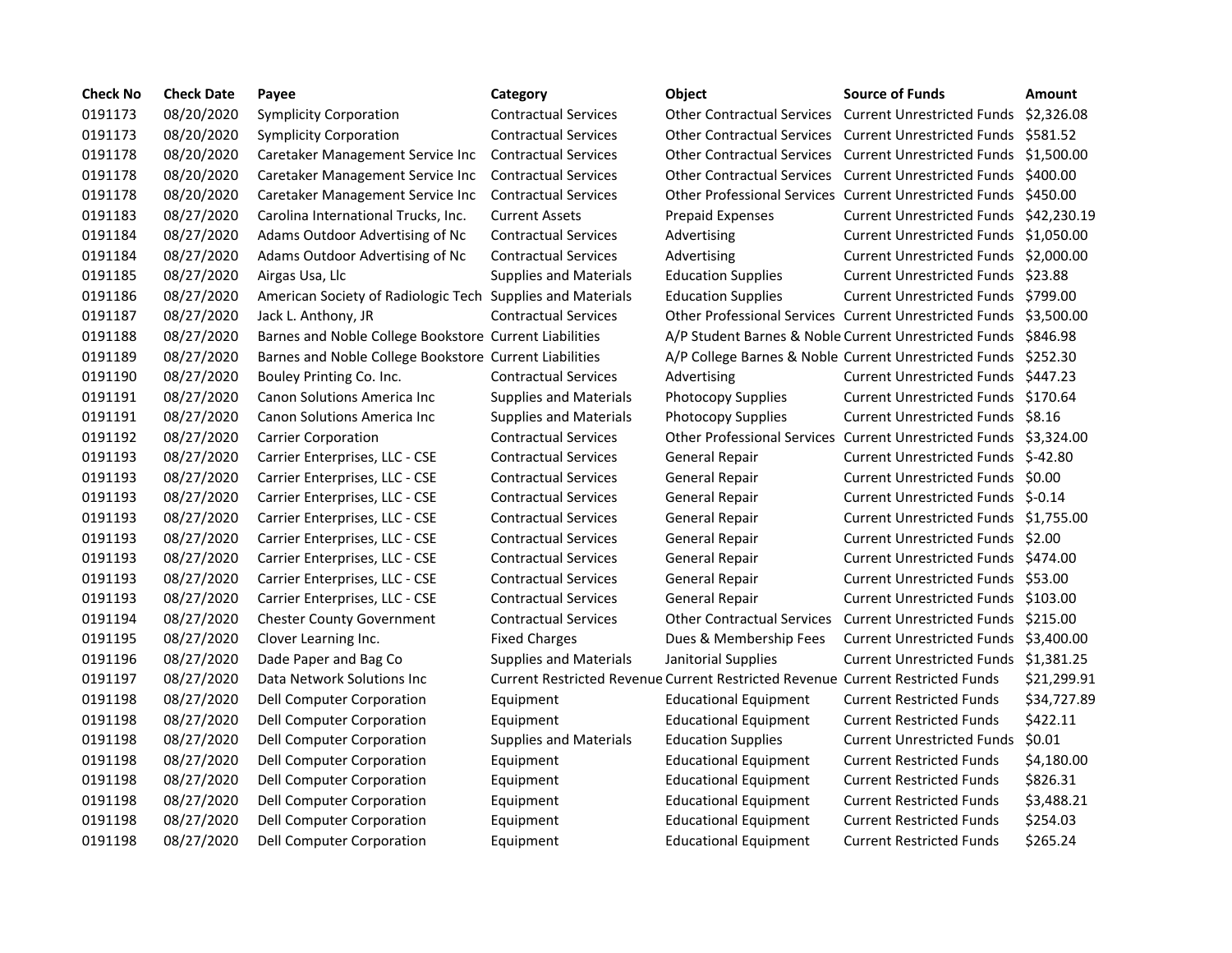| <b>Check No</b> | <b>Check Date</b> | Payee                                                      | Category                      | <b>Object</b>                                                                  | <b>Source of Funds</b>                                            | Amount      |
|-----------------|-------------------|------------------------------------------------------------|-------------------------------|--------------------------------------------------------------------------------|-------------------------------------------------------------------|-------------|
| 0191173         | 08/20/2020        | <b>Symplicity Corporation</b>                              | <b>Contractual Services</b>   |                                                                                | Other Contractual Services Current Unrestricted Funds \$2,326.08  |             |
| 0191173         | 08/20/2020        | <b>Symplicity Corporation</b>                              | <b>Contractual Services</b>   | <b>Other Contractual Services</b>                                              | Current Unrestricted Funds \$581.52                               |             |
| 0191178         | 08/20/2020        | Caretaker Management Service Inc                           | <b>Contractual Services</b>   | <b>Other Contractual Services</b>                                              | Current Unrestricted Funds \$1,500.00                             |             |
| 0191178         | 08/20/2020        | Caretaker Management Service Inc                           | <b>Contractual Services</b>   | <b>Other Contractual Services</b>                                              | Current Unrestricted Funds \$400.00                               |             |
| 0191178         | 08/20/2020        | Caretaker Management Service Inc                           | <b>Contractual Services</b>   |                                                                                | Other Professional Services Current Unrestricted Funds \$450.00   |             |
| 0191183         | 08/27/2020        | Carolina International Trucks, Inc.                        | <b>Current Assets</b>         | <b>Prepaid Expenses</b>                                                        | Current Unrestricted Funds \$42,230.19                            |             |
| 0191184         | 08/27/2020        | Adams Outdoor Advertising of Nc                            | <b>Contractual Services</b>   | Advertising                                                                    | Current Unrestricted Funds \$1,050.00                             |             |
| 0191184         | 08/27/2020        | Adams Outdoor Advertising of Nc                            | <b>Contractual Services</b>   | Advertising                                                                    | Current Unrestricted Funds \$2,000.00                             |             |
| 0191185         | 08/27/2020        | Airgas Usa, Llc                                            | <b>Supplies and Materials</b> | <b>Education Supplies</b>                                                      | Current Unrestricted Funds \$23.88                                |             |
| 0191186         | 08/27/2020        | American Society of Radiologic Tech Supplies and Materials |                               | <b>Education Supplies</b>                                                      | Current Unrestricted Funds \$799.00                               |             |
| 0191187         | 08/27/2020        | Jack L. Anthony, JR                                        | <b>Contractual Services</b>   |                                                                                | Other Professional Services Current Unrestricted Funds \$3,500.00 |             |
| 0191188         | 08/27/2020        | Barnes and Noble College Bookstore Current Liabilities     |                               |                                                                                | A/P Student Barnes & Noble Current Unrestricted Funds \$846.98    |             |
| 0191189         | 08/27/2020        | Barnes and Noble College Bookstore Current Liabilities     |                               |                                                                                | A/P College Barnes & Noble Current Unrestricted Funds \$252.30    |             |
| 0191190         | 08/27/2020        | Bouley Printing Co. Inc.                                   | <b>Contractual Services</b>   | Advertising                                                                    | Current Unrestricted Funds \$447.23                               |             |
| 0191191         | 08/27/2020        | Canon Solutions America Inc                                | <b>Supplies and Materials</b> | <b>Photocopy Supplies</b>                                                      | Current Unrestricted Funds \$170.64                               |             |
| 0191191         | 08/27/2020        | <b>Canon Solutions America Inc.</b>                        | <b>Supplies and Materials</b> | <b>Photocopy Supplies</b>                                                      | Current Unrestricted Funds \$8.16                                 |             |
| 0191192         | 08/27/2020        | <b>Carrier Corporation</b>                                 | <b>Contractual Services</b>   | <b>Other Professional Services</b>                                             | Current Unrestricted Funds \$3,324.00                             |             |
| 0191193         | 08/27/2020        | Carrier Enterprises, LLC - CSE                             | <b>Contractual Services</b>   | <b>General Repair</b>                                                          | Current Unrestricted Funds \$-42.80                               |             |
| 0191193         | 08/27/2020        | Carrier Enterprises, LLC - CSE                             | <b>Contractual Services</b>   | <b>General Repair</b>                                                          | Current Unrestricted Funds \$0.00                                 |             |
| 0191193         | 08/27/2020        | Carrier Enterprises, LLC - CSE                             | <b>Contractual Services</b>   | <b>General Repair</b>                                                          | Current Unrestricted Funds \$-0.14                                |             |
| 0191193         | 08/27/2020        | Carrier Enterprises, LLC - CSE                             | <b>Contractual Services</b>   | General Repair                                                                 | Current Unrestricted Funds \$1,755.00                             |             |
| 0191193         | 08/27/2020        | Carrier Enterprises, LLC - CSE                             | <b>Contractual Services</b>   | General Repair                                                                 | Current Unrestricted Funds \$2.00                                 |             |
| 0191193         | 08/27/2020        | Carrier Enterprises, LLC - CSE                             | <b>Contractual Services</b>   | General Repair                                                                 | Current Unrestricted Funds \$474.00                               |             |
| 0191193         | 08/27/2020        | Carrier Enterprises, LLC - CSE                             | <b>Contractual Services</b>   | General Repair                                                                 | Current Unrestricted Funds \$53.00                                |             |
| 0191193         | 08/27/2020        | Carrier Enterprises, LLC - CSE                             | <b>Contractual Services</b>   | General Repair                                                                 | Current Unrestricted Funds \$103.00                               |             |
| 0191194         | 08/27/2020        | <b>Chester County Government</b>                           | <b>Contractual Services</b>   | <b>Other Contractual Services</b>                                              | Current Unrestricted Funds \$215.00                               |             |
| 0191195         | 08/27/2020        | Clover Learning Inc.                                       | <b>Fixed Charges</b>          | Dues & Membership Fees                                                         | Current Unrestricted Funds \$3,400.00                             |             |
| 0191196         | 08/27/2020        | Dade Paper and Bag Co                                      | <b>Supplies and Materials</b> | Janitorial Supplies                                                            | Current Unrestricted Funds \$1,381.25                             |             |
| 0191197         | 08/27/2020        | Data Network Solutions Inc                                 |                               | Current Restricted Revenue Current Restricted Revenue Current Restricted Funds |                                                                   | \$21,299.91 |
| 0191198         | 08/27/2020        | Dell Computer Corporation                                  | Equipment                     | <b>Educational Equipment</b>                                                   | <b>Current Restricted Funds</b>                                   | \$34,727.89 |
| 0191198         | 08/27/2020        | Dell Computer Corporation                                  | Equipment                     | <b>Educational Equipment</b>                                                   | <b>Current Restricted Funds</b>                                   | \$422.11    |
| 0191198         | 08/27/2020        | Dell Computer Corporation                                  | <b>Supplies and Materials</b> | <b>Education Supplies</b>                                                      | <b>Current Unrestricted Funds</b>                                 | \$0.01      |
| 0191198         | 08/27/2020        | Dell Computer Corporation                                  | Equipment                     | <b>Educational Equipment</b>                                                   | <b>Current Restricted Funds</b>                                   | \$4,180.00  |
| 0191198         | 08/27/2020        | Dell Computer Corporation                                  | Equipment                     | <b>Educational Equipment</b>                                                   | <b>Current Restricted Funds</b>                                   | \$826.31    |
| 0191198         | 08/27/2020        | Dell Computer Corporation                                  | Equipment                     | <b>Educational Equipment</b>                                                   | <b>Current Restricted Funds</b>                                   | \$3,488.21  |
| 0191198         | 08/27/2020        | Dell Computer Corporation                                  | Equipment                     | <b>Educational Equipment</b>                                                   | <b>Current Restricted Funds</b>                                   | \$254.03    |
| 0191198         | 08/27/2020        | Dell Computer Corporation                                  | Equipment                     | Educational Equipment                                                          | <b>Current Restricted Funds</b>                                   | \$265.24    |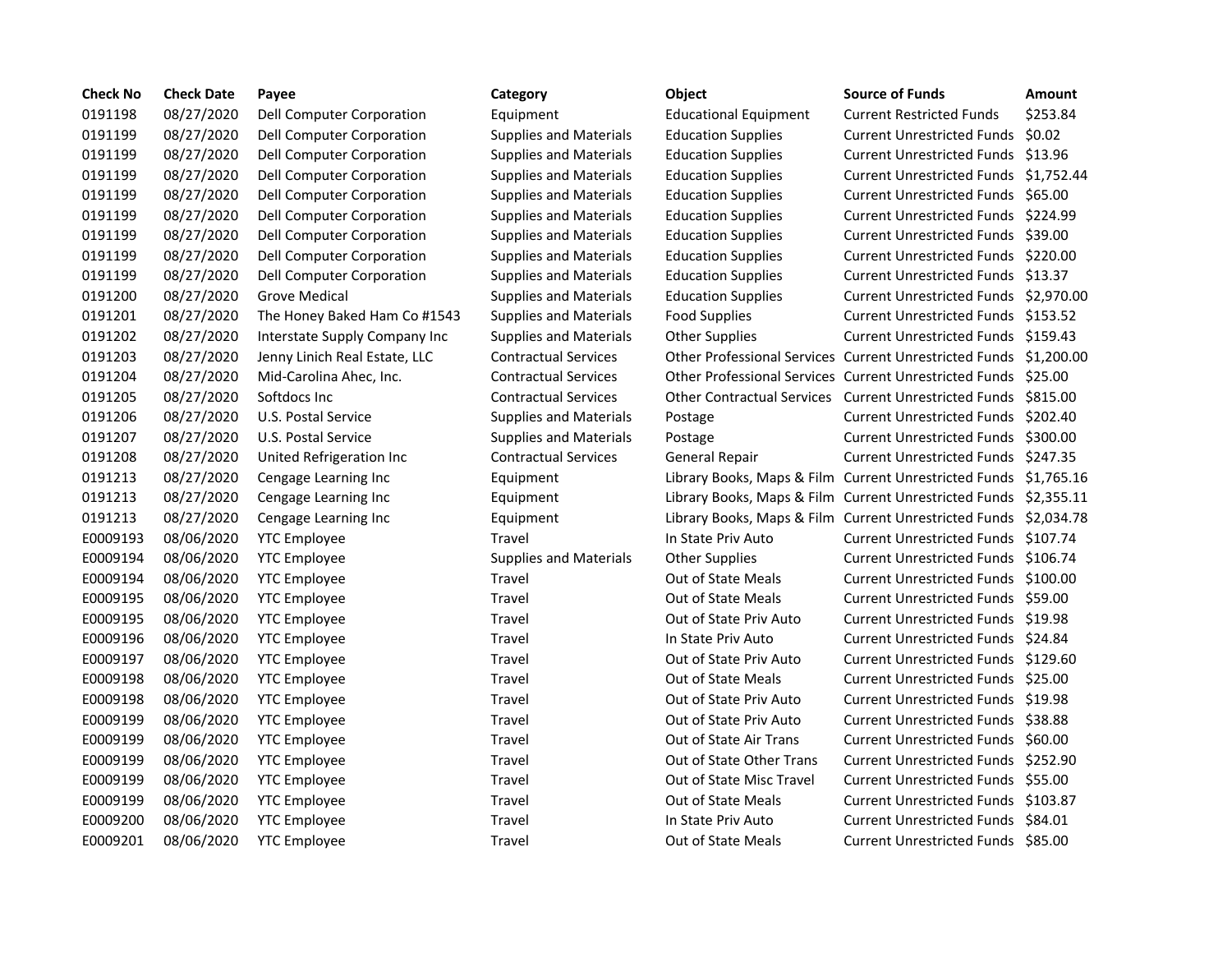| <b>Check No</b> | <b>Check Date</b> | Payee                         | Category                      | Object                       | <b>Source of Funds</b>                                           | <b>Amount</b> |
|-----------------|-------------------|-------------------------------|-------------------------------|------------------------------|------------------------------------------------------------------|---------------|
| 0191198         | 08/27/2020        | Dell Computer Corporation     | Equipment                     | <b>Educational Equipment</b> | <b>Current Restricted Funds</b>                                  | \$253.84      |
| 0191199         | 08/27/2020        | Dell Computer Corporation     | <b>Supplies and Materials</b> | <b>Education Supplies</b>    | <b>Current Unrestricted Funds</b>                                | \$0.02        |
| 0191199         | 08/27/2020        | Dell Computer Corporation     | <b>Supplies and Materials</b> | <b>Education Supplies</b>    | Current Unrestricted Funds \$13.96                               |               |
| 0191199         | 08/27/2020        | Dell Computer Corporation     | <b>Supplies and Materials</b> | <b>Education Supplies</b>    | Current Unrestricted Funds \$1,752.4                             |               |
| 0191199         | 08/27/2020        | Dell Computer Corporation     | <b>Supplies and Materials</b> | <b>Education Supplies</b>    | <b>Current Unrestricted Funds</b>                                | \$65.00       |
| 0191199         | 08/27/2020        | Dell Computer Corporation     | <b>Supplies and Materials</b> | <b>Education Supplies</b>    | <b>Current Unrestricted Funds</b>                                | \$224.99      |
| 0191199         | 08/27/2020        | Dell Computer Corporation     | <b>Supplies and Materials</b> | <b>Education Supplies</b>    | Current Unrestricted Funds \$39.00                               |               |
| 0191199         | 08/27/2020        | Dell Computer Corporation     | <b>Supplies and Materials</b> | <b>Education Supplies</b>    | Current Unrestricted Funds \$220.00                              |               |
| 0191199         | 08/27/2020        | Dell Computer Corporation     | <b>Supplies and Materials</b> | <b>Education Supplies</b>    | <b>Current Unrestricted Funds</b>                                | \$13.37       |
| 0191200         | 08/27/2020        | <b>Grove Medical</b>          | <b>Supplies and Materials</b> | <b>Education Supplies</b>    | Current Unrestricted Funds \$2,970.0                             |               |
| 0191201         | 08/27/2020        | The Honey Baked Ham Co #1543  | <b>Supplies and Materials</b> | <b>Food Supplies</b>         | Current Unrestricted Funds \$153.52                              |               |
| 0191202         | 08/27/2020        | Interstate Supply Company Inc | <b>Supplies and Materials</b> | <b>Other Supplies</b>        | Current Unrestricted Funds \$159.43                              |               |
| 0191203         | 08/27/2020        | Jenny Linich Real Estate, LLC | <b>Contractual Services</b>   |                              | Other Professional Services Current Unrestricted Funds \$1,200.0 |               |
| 0191204         | 08/27/2020        | Mid-Carolina Ahec, Inc.       | <b>Contractual Services</b>   |                              | Other Professional Services Current Unrestricted Funds \$25.00   |               |
| 0191205         | 08/27/2020        | Softdocs Inc                  | <b>Contractual Services</b>   |                              | Other Contractual Services Current Unrestricted Funds \$815.00   |               |
| 0191206         | 08/27/2020        | U.S. Postal Service           | <b>Supplies and Materials</b> | Postage                      | Current Unrestricted Funds \$202.40                              |               |
| 0191207         | 08/27/2020        | U.S. Postal Service           | <b>Supplies and Materials</b> | Postage                      | Current Unrestricted Funds \$300.00                              |               |
| 0191208         | 08/27/2020        | United Refrigeration Inc      | <b>Contractual Services</b>   | General Repair               | Current Unrestricted Funds \$247.35                              |               |
| 0191213         | 08/27/2020        | Cengage Learning Inc          | Equipment                     |                              | Library Books, Maps & Film Current Unrestricted Funds \$1,765.1  |               |
| 0191213         | 08/27/2020        | Cengage Learning Inc          | Equipment                     |                              | Library Books, Maps & Film Current Unrestricted Funds \$2,355.1  |               |
| 0191213         | 08/27/2020        | Cengage Learning Inc          | Equipment                     |                              | Library Books, Maps & Film Current Unrestricted Funds \$2,034.7  |               |
| E0009193        | 08/06/2020        | <b>YTC Employee</b>           | Travel                        | In State Priv Auto           | Current Unrestricted Funds \$107.74                              |               |
| E0009194        | 08/06/2020        | <b>YTC Employee</b>           | <b>Supplies and Materials</b> | <b>Other Supplies</b>        | Current Unrestricted Funds \$106.74                              |               |
| E0009194        | 08/06/2020        | <b>YTC Employee</b>           | Travel                        | Out of State Meals           | Current Unrestricted Funds \$100.00                              |               |
| E0009195        | 08/06/2020        | <b>YTC Employee</b>           | Travel                        | Out of State Meals           | Current Unrestricted Funds \$59.00                               |               |
| E0009195        | 08/06/2020        | <b>YTC Employee</b>           | Travel                        | Out of State Priv Auto       | Current Unrestricted Funds \$19.98                               |               |
| E0009196        | 08/06/2020        | <b>YTC Employee</b>           | Travel                        | In State Priv Auto           | Current Unrestricted Funds \$24.84                               |               |
| E0009197        | 08/06/2020        | <b>YTC Employee</b>           | Travel                        | Out of State Priv Auto       | Current Unrestricted Funds \$129.60                              |               |
| E0009198        | 08/06/2020        | <b>YTC Employee</b>           | Travel                        | Out of State Meals           | Current Unrestricted Funds \$25.00                               |               |
| E0009198        | 08/06/2020        | <b>YTC Employee</b>           | Travel                        | Out of State Priv Auto       | Current Unrestricted Funds \$19.98                               |               |
| E0009199        | 08/06/2020        | <b>YTC Employee</b>           | Travel                        | Out of State Priv Auto       | Current Unrestricted Funds \$38.88                               |               |
| E0009199        | 08/06/2020        | <b>YTC Employee</b>           | Travel                        | Out of State Air Trans       | Current Unrestricted Funds \$60.00                               |               |
| E0009199        | 08/06/2020        | <b>YTC Employee</b>           | Travel                        | Out of State Other Trans     | Current Unrestricted Funds \$252.90                              |               |
| E0009199        | 08/06/2020        | <b>YTC Employee</b>           | Travel                        | Out of State Misc Travel     | Current Unrestricted Funds \$55.00                               |               |
| E0009199        | 08/06/2020        | <b>YTC Employee</b>           | Travel                        | <b>Out of State Meals</b>    | Current Unrestricted Funds \$103.87                              |               |
| E0009200        | 08/06/2020        | <b>YTC Employee</b>           | Travel                        | In State Priv Auto           | Current Unrestricted Funds \$84.01                               |               |
| E0009201        | 08/06/2020        | <b>YTC Employee</b>           | Travel                        | <b>Out of State Meals</b>    | Current Unrestricted Funds \$85.00                               |               |